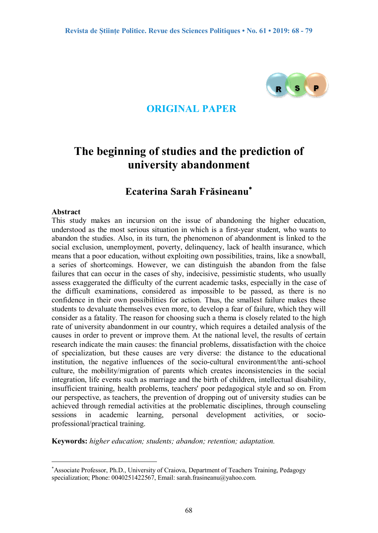

### **ORIGINAL PAPER**

# **The beginning of studies and the prediction of university abandonment**

## **Ecaterina Sarah Frăsineanu**

#### **Abstract**

 $\overline{a}$ 

This study makes an incursion on the issue of abandoning the higher education, understood as the most serious situation in which is a first-year student, who wants to abandon the studies. Also, in its turn, the phenomenon of abandonment is linked to the social exclusion, unemployment, poverty, delinquency, lack of health insurance, which means that a poor education, without exploiting own possibilities, trains, like a snowball, a series of shortcomings. However, we can distinguish the abandon from the false failures that can occur in the cases of shy, indecisive, pessimistic students, who usually assess exaggerated the difficulty of the current academic tasks, especially in the case of the difficult examinations, considered as impossible to be passed, as there is no confidence in their own possibilities for action. Thus, the smallest failure makes these students to devaluate themselves even more, to develop a fear of failure, which they will consider as a fatality. The reason for choosing such a thema is closely related to the high rate of university abandonment in our country, which requires a detailed analysis of the causes in order to prevent or improve them. At the national level, the results of certain research indicate the main causes: the financial problems, dissatisfaction with the choice of specialization, but these causes are very diverse: the distance to the educational institution, the negative influences of the socio-cultural environment/the anti-school culture, the mobility/migration of parents which creates inconsistencies in the social integration, life events such as marriage and the birth of children, intellectual disability, insufficient training, health problems, teachers' poor pedagogical style and so on. From our perspective, as teachers, the prevention of dropping out of university studies can be achieved through remedial activities at the problematic disciplines, through counseling sessions in academic learning, personal development activities, or socioprofessional/practical training.

**Keywords:** *higher education; students; abandon; retention; adaptation.* 

Associate Professor, Ph.D., University of Craiova, Department of Teachers Training, Pedagogy specialization; Phone: 0040251422567, Email: sarah.frasineanu@yahoo.com.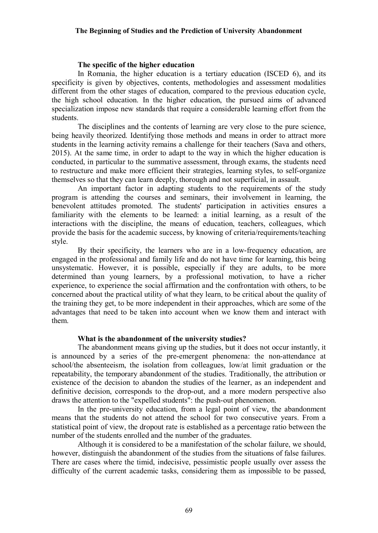#### **The specific of the higher education**

In Romania, the higher education is a tertiary education (ISCED 6), and its specificity is given by objectives, contents, methodologies and assessment modalities different from the other stages of education, compared to the previous education cycle, the high school education. In the higher education, the pursued aims of advanced specialization impose new standards that require a considerable learning effort from the students.

The disciplines and the contents of learning are very close to the pure science, being heavily theorized. Identifying those methods and means in order to attract more students in the learning activity remains a challenge for their teachers (Sava and others, 2015). At the same time, in order to adapt to the way in which the higher education is conducted, in particular to the summative assessment, through exams, the students need to restructure and make more efficient their strategies, learning styles, to self-organize themselves so that they can learn deeply, thorough and not superficial, in assault.

An important factor in adapting students to the requirements of the study program is attending the courses and seminars, their involvement in learning, the benevolent attitudes promoted. The students' participation in activities ensures a familiarity with the elements to be learned: a initial learning, as a result of the interactions with the discipline, the means of education, teachers, colleagues, which provide the basis for the academic success, by knowing of criteria/requirements/teaching style.

By their specificity, the learners who are in a low-frequency education, are engaged in the professional and family life and do not have time for learning, this being unsystematic. However, it is possible, especially if they are adults, to be more determined than young learners, by a professional motivation, to have a richer experience, to experience the social affirmation and the confrontation with others, to be concerned about the practical utility of what they learn, to be critical about the quality of the training they get, to be more independent in their approaches, which are some of the advantages that need to be taken into account when we know them and interact with them.

#### **What is the abandonment of the university studies?**

The abandonment means giving up the studies, but it does not occur instantly, it is announced by a series of the pre-emergent phenomena: the non-attendance at school/the absenteeism, the isolation from colleagues, low/at limit graduation or the repeatability, the temporary abandonment of the studies. Traditionally, the attribution or existence of the decision to abandon the studies of the learner, as an independent and definitive decision, corresponds to the drop-out, and a more modern perspective also draws the attention to the "expelled students": the push-out phenomenon.

In the pre-university education, from a legal point of view, the abandonment means that the students do not attend the school for two consecutive years. From a statistical point of view, the dropout rate is established as a percentage ratio between the number of the students enrolled and the number of the graduates.

Although it is considered to be a manifestation of the scholar failure, we should, however, distinguish the abandonment of the studies from the situations of false failures. There are cases where the timid, indecisive, pessimistic people usually over assess the difficulty of the current academic tasks, considering them as impossible to be passed,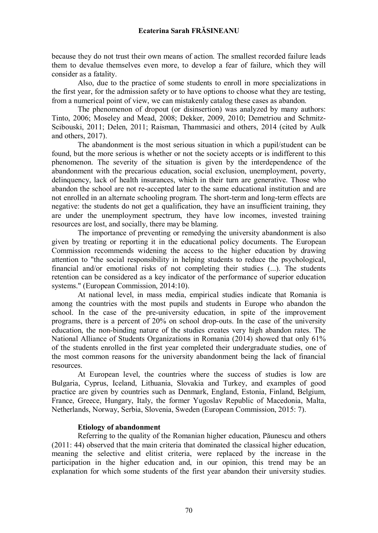because they do not trust their own means of action. The smallest recorded failure leads them to devalue themselves even more, to develop a fear of failure, which they will consider as a fatality.

Also, due to the practice of some students to enroll in more specializations in the first year, for the admission safety or to have options to choose what they are testing, from a numerical point of view, we can mistakenly catalog these cases as abandon.

The phenomenon of dropout (or disinsertion) was analyzed by many authors: Tinto, 2006; Moseley and Mead, 2008; Dekker, 2009, 2010; Demetriou and Schmitz-Scibouski, 2011; Delen, 2011; Raisman, Thammasici and others, 2014 (cited by Aulk and others, 2017).

The abandonment is the most serious situation in which a pupil/student can be found, but the more serious is whether or not the society accepts or is indifferent to this phenomenon. The severity of the situation is given by the interdependence of the abandonment with the precarious education, social exclusion, unemployment, poverty, delinquency, lack of health insurances, which in their turn are generative. Those who abandon the school are not re-accepted later to the same educational institution and are not enrolled in an alternate schooling program. The short-term and long-term effects are negative: the students do not get a qualification, they have an insufficient training, they are under the unemployment spectrum, they have low incomes, invested training resources are lost, and socially, there may be blaming.

The importance of preventing or remedying the university abandonment is also given by treating or reporting it in the educational policy documents. The European Commission recommends widening the access to the higher education by drawing attention to "the social responsibility in helping students to reduce the psychological, financial and/or emotional risks of not completing their studies (...). The students retention can be considered as a key indicator of the performance of superior education systems." (European Commission, 2014:10).

At national level, in mass media, empirical studies indicate that Romania is among the countries with the most pupils and students in Europe who abandon the school. In the case of the pre-university education, in spite of the improvement programs, there is a percent of 20% on school drop-outs. In the case of the university education, the non-binding nature of the studies creates very high abandon rates. The National Alliance of Students Organizations in Romania (2014) showed that only 61% of the students enrolled in the first year completed their undergraduate studies, one of the most common reasons for the university abandonment being the lack of financial resources.

At European level, the countries where the success of studies is low are Bulgaria, Cyprus, Iceland, Lithuania, Slovakia and Turkey, and examples of good practice are given by countries such as Denmark, England, Estonia, Finland, Belgium, France, Greece, Hungary, Italy, the former Yugoslav Republic of Macedonia, Malta, Netherlands, Norway, Serbia, Slovenia, Sweden (European Commission, 2015: 7).

#### **Etiology of abandonment**

Referring to the quality of the Romanian higher education, Păunescu and others (2011: 44) observed that the main criteria that dominated the classical higher education, meaning the selective and elitist criteria, were replaced by the increase in the participation in the higher education and, in our opinion, this trend may be an explanation for which some students of the first year abandon their university studies.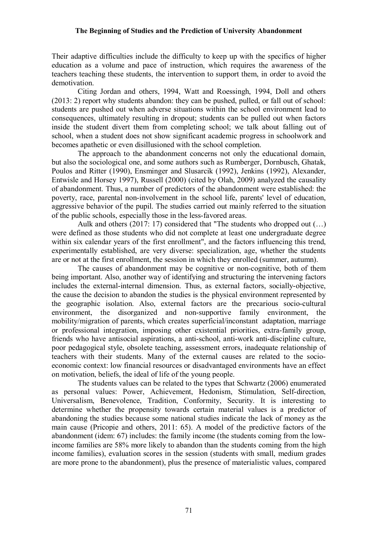Their adaptive difficulties include the difficulty to keep up with the specifics of higher education as a volume and pace of instruction, which requires the awareness of the teachers teaching these students, the intervention to support them, in order to avoid the demotivation.

Citing Jordan and others, 1994, Watt and Roessingh, 1994, Doll and others (2013: 2) report why students abandon: they can be pushed, pulled, or fall out of school: students are pushed out when adverse situations within the school environment lead to consequences, ultimately resulting in dropout; students can be pulled out when factors inside the student divert them from completing school; we talk about falling out of school, when a student does not show significant academic progress in schoolwork and becomes apathetic or even disillusioned with the school completion.

The approach to the abandonment concerns not only the educational domain, but also the sociological one, and some authors such as Rumberger, Dornbusch, Ghatak, Poulos and Ritter (1990), Ensminger and Slusarcik (1992), Jenkins (1992), Alexander, Entwisle and Horsey 1997), Russell (2000) (cited by Olah, 2009) analyzed the causality of abandonment. Thus, a number of predictors of the abandonment were established: the poverty, race, parental non-involvement in the school life, parents' level of education, aggressive behavior of the pupil. The studies carried out mainly referred to the situation of the public schools, especially those in the less-favored areas.

Aulk and others (2017: 17) considered that "The students who dropped out (…) were defined as those students who did not complete at least one undergraduate degree within six calendar years of the first enrollment", and the factors influencing this trend, experimentally established, are very diverse: specialization, age, whether the students are or not at the first enrollment, the session in which they enrolled (summer, autumn).

The causes of abandonment may be cognitive or non-cognitive, both of them being important. Also, another way of identifying and structuring the intervening factors includes the external-internal dimension. Thus, as external factors, socially-objective, the cause the decision to abandon the studies is the physical environment represented by the geographic isolation. Also, external factors are the precarious socio-cultural environment, the disorganized and non-supportive family environment, the mobility/migration of parents, which creates superficial/inconstant adaptation, marriage or professional integration, imposing other existential priorities, extra-family group, friends who have antisocial aspirations, a anti-school, anti-work anti-discipline culture, poor pedagogical style, obsolete teaching, assessment errors, inadequate relationship of teachers with their students. Many of the external causes are related to the socioeconomic context: low financial resources or disadvantaged environments have an effect on motivation, beliefs, the ideal of life of the young people.

The students values can be related to the types that Schwartz (2006) enumerated as personal values: Power, Achievement, Hedonism, Stimulation, Self-direction, Universalism, Benevolence, Tradition, Conformity, Security. It is interesting to determine whether the propensity towards certain material values is a predictor of abandoning the studies because some national studies indicate the lack of money as the main cause (Pricopie and others, 2011: 65). A model of the predictive factors of the abandonment (idem: 67) includes: the family income (the students coming from the lowincome families are 58% more likely to abandon than the students coming from the high income families), evaluation scores in the session (students with small, medium grades are more prone to the abandonment), plus the presence of materialistic values, compared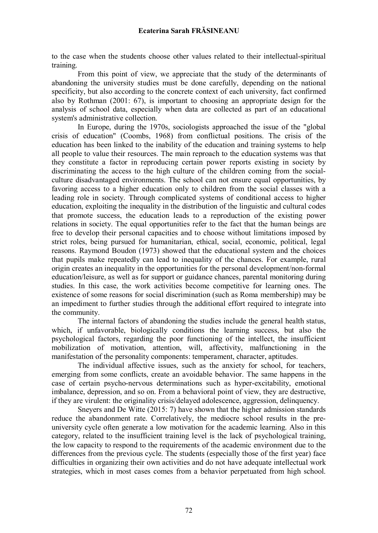to the case when the students choose other values related to their intellectual-spiritual training.

From this point of view, we appreciate that the study of the determinants of abandoning the university studies must be done carefully, depending on the national specificity, but also according to the concrete context of each university, fact confirmed also by Rothman (2001: 67), is important to choosing an appropriate design for the analysis of school data, especially when data are collected as part of an educational system's administrative collection.

In Europe, during the 1970s, sociologists approached the issue of the "global crisis of education" (Coombs, 1968) from conflictual positions. The crisis of the education has been linked to the inability of the education and training systems to help all people to value their resources. The main reproach to the education systems was that they constitute a factor in reproducing certain power reports existing in society by discriminating the access to the high culture of the children coming from the socialculture disadvantaged environments. The school can not ensure equal opportunities, by favoring access to a higher education only to children from the social classes with a leading role in society. Through complicated systems of conditional access to higher education, exploiting the inequality in the distribution of the linguistic and cultural codes that promote success, the education leads to a reproduction of the existing power relations in society. The equal opportunities refer to the fact that the human beings are free to develop their personal capacities and to choose without limitations imposed by strict roles, being pursued for humanitarian, ethical, social, economic, political, legal reasons. Raymond Boudon (1973) showed that the educational system and the choices that pupils make repeatedly can lead to inequality of the chances. For example, rural origin creates an inequality in the opportunities for the personal development/non-formal education/leisure, as well as for support or guidance chances, parental monitoring during studies. In this case, the work activities become competitive for learning ones. The existence of some reasons for social discrimination (such as Roma membership) may be an impediment to further studies through the additional effort required to integrate into the community.

The internal factors of abandoning the studies include the general health status, which, if unfavorable, biologically conditions the learning success, but also the psychological factors, regarding the poor functioning of the intellect, the insufficient mobilization of motivation, attention, will, affectivity, malfunctioning in the manifestation of the personality components: temperament, character, aptitudes.

The individual affective issues, such as the anxiety for school, for teachers, emerging from some conflicts, create an avoidable behavior. The same happens in the case of certain psycho-nervous determinations such as hyper-excitability, emotional imbalance, depression, and so on. From a behavioral point of view, they are destructive, if they are virulent: the originality crisis/delayed adolescence, aggression, delinquency.

Sneyers and De Witte (2015: 7) have shown that the higher admission standards reduce the abandonment rate. Correlatively, the mediocre school results in the preuniversity cycle often generate a low motivation for the academic learning. Also in this category, related to the insufficient training level is the lack of psychological training, the low capacity to respond to the requirements of the academic environment due to the differences from the previous cycle. The students (especially those of the first year) face difficulties in organizing their own activities and do not have adequate intellectual work strategies, which in most cases comes from a behavior perpetuated from high school.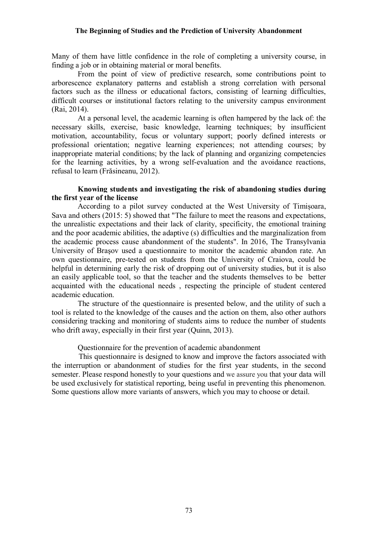Many of them have little confidence in the role of completing a university course, in finding a job or in obtaining material or moral benefits.

From the point of view of predictive research, some contributions point to arborescence explanatory patterns and establish a strong correlation with personal factors such as the illness or educational factors, consisting of learning difficulties, difficult courses or institutional factors relating to the university campus environment (Rai, 2014).

At a personal level, the academic learning is often hampered by the lack of: the necessary skills, exercise, basic knowledge, learning techniques; by insufficient motivation, accountability, focus or voluntary support; poorly defined interests or professional orientation; negative learning experiences; not attending courses; by inappropriate material conditions; by the lack of planning and organizing competencies for the learning activities, by a wrong self-evaluation and the avoidance reactions, refusal to learn (Frăsineanu, 2012).

#### **Knowing students and investigating the risk of abandoning studies during the first year of the license**

According to a pilot survey conducted at the West University of Timișoara, Sava and others (2015: 5) showed that "The failure to meet the reasons and expectations, the unrealistic expectations and their lack of clarity, specificity, the emotional training and the poor academic abilities, the adaptive (s) difficulties and the marginalization from the academic process cause abandonment of the students". In 2016, The Transylvania University of Braşov used a questionnaire to monitor the academic abandon rate. An own questionnaire, pre-tested on students from the University of Craiova, could be helpful in determining early the risk of dropping out of university studies, but it is also an easily applicable tool, so that the teacher and the students themselves to be better acquainted with the educational needs , respecting the principle of student centered academic education.

The structure of the questionnaire is presented below, and the utility of such a tool is related to the knowledge of the causes and the action on them, also other authors considering tracking and monitoring of students aims to reduce the number of students who drift away, especially in their first year (Quinn, 2013).

Questionnaire for the prevention of academic abandonment

 This questionnaire is designed to know and improve the factors associated with the interruption or abandonment of studies for the first year students, in the second semester. Please respond honestly to your questions and we assure you that your data will be used exclusively for statistical reporting, being useful in preventing this phenomenon. Some questions allow more variants of answers, which you may to choose or detail.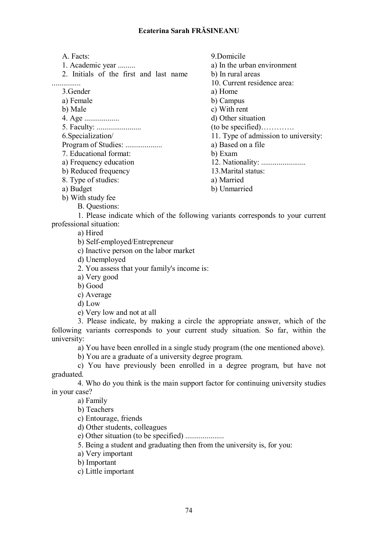A. Facts:

1. Academic year .........

2. Initials of the first and last name

...............

3.Gender

a) Female

b) Male

4. Age ..................

5. Faculty: .......................

6.Specialization/ Program of Studies: ....................

7. Educational format:

a) Frequency education

b) Reduced frequency

8. Type of studies:

a) Budget

b) With study fee

B. Questions:

9.Domicile a) In the urban environment b) In rural areas 10. Current residence area: a) Home b) Campus c) With rent d) Other situation (to be specified)…………. 11. Type of admission to university: a) Based on a file b) Exam 12. Nationality: ....................... 13.Marital status: a) Married

b) Unmarried

1. Please indicate which of the following variants corresponds to your current professional situation:

a) Hired

b) Self-employed/Entrepreneur

c) Inactive person on the labor market

d) Unemployed

2. You assess that your family's income is:

a) Very good

b) Good

c) Average

d) Low

e) Very low and not at all

3. Please indicate, by making a circle the appropriate answer, which of the following variants corresponds to your current study situation. So far, within the university:

a) You have been enrolled in a single study program (the one mentioned above).

b) You are a graduate of a university degree program.

c) You have previously been enrolled in a degree program, but have not graduated.

4. Who do you think is the main support factor for continuing university studies in your case?

a) Family

b) Teachers

c) Entourage, friends

d) Other students, colleagues

e) Other situation (to be specified) ....................

5. Being a student and graduating then from the university is, for you:

a) Very important

b) Important

c) Little important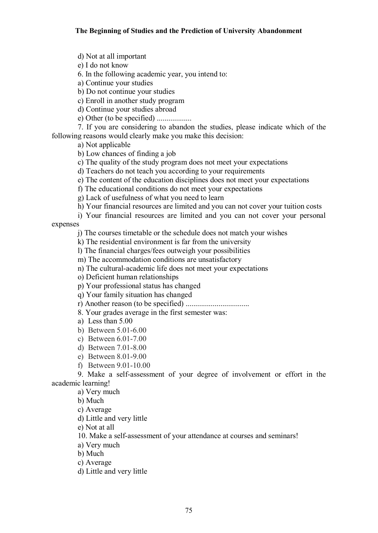d) Not at all important

e) I do not know

6. In the following academic year, you intend to:

a) Continue your studies

b) Do not continue your studies

c) Enroll in another study program

d) Continue your studies abroad

e) Other (to be specified) ..................

7. If you are considering to abandon the studies, please indicate which of the following reasons would clearly make you make this decision:

a) Not applicable

b) Low chances of finding a job

c) The quality of the study program does not meet your expectations

d) Teachers do not teach you according to your requirements

e) The content of the education disciplines does not meet your expectations

f) The educational conditions do not meet your expectations

g) Lack of usefulness of what you need to learn

h) Your financial resources are limited and you can not cover your tuition costs

i) Your financial resources are limited and you can not cover your personal

expenses

j) The courses timetable or the schedule does not match your wishes

k) The residential environment is far from the university

l) The financial charges/fees outweigh your possibilities

m) The accommodation conditions are unsatisfactory

n) The cultural-academic life does not meet your expectations

o) Deficient human relationships

p) Your professional status has changed

q) Your family situation has changed

r) Another reason (to be specified) .................................

8. Your grades average in the first semester was:

- a) Less than 5.00
- b) Between 5.01-6.00
- c) Between 6.01-7.00
- d) Between 7.01-8.00
- e) Between 8.01-9.00
- f) Between 9.01-10.00

9. Make a self-assessment of your degree of involvement or effort in the academic learning!

a) Very much

b) Much

c) Average

d) Little and very little

e) Not at all

10. Make a self-assessment of your attendance at courses and seminars!

a) Very much

b) Much

c) Average

d) Little and very little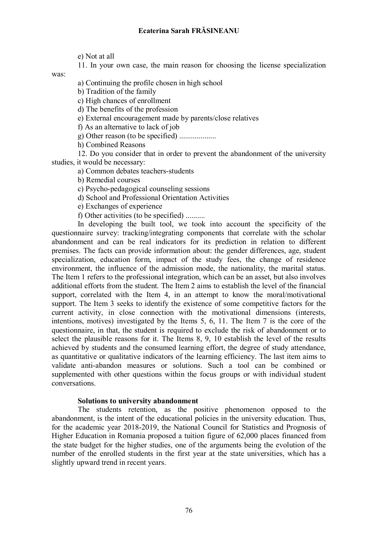e) Not at all

11. In your own case, the main reason for choosing the license specialization

was:

a) Continuing the profile chosen in high school

b) Tradition of the family

c) High chances of enrollment

d) The benefits of the profession

e) External encouragement made by parents/close relatives

f) As an alternative to lack of job

g) Other reason (to be specified) ...................

h) Combined Reasons

12. Do you consider that in order to prevent the abandonment of the university studies, it would be necessary:

a) Common debates teachers-students

b) Remedial courses

c) Psycho-pedagogical counseling sessions

d) School and Professional Orientation Activities

e) Exchanges of experience

f) Other activities (to be specified) ..........

In developing the built tool, we took into account the specificity of the questionnaire survey: tracking/integrating components that correlate with the scholar abandonment and can be real indicators for its prediction in relation to different premises. The facts can provide information about: the gender differences, age, student specialization, education form, impact of the study fees, the change of residence environment, the influence of the admission mode, the nationality, the marital status. The Item 1 refers to the professional integration, which can be an asset, but also involves additional efforts from the student. The Item 2 aims to establish the level of the financial support, correlated with the Item 4, in an attempt to know the moral/motivational support. The Item 3 seeks to identify the existence of some competitive factors for the current activity, in close connection with the motivational dimensions (interests, intentions, motives) investigated by the Items 5, 6, 11. The Item 7 is the core of the questionnaire, in that, the student is required to exclude the risk of abandonment or to select the plausible reasons for it. The Items 8, 9, 10 establish the level of the results achieved by students and the consumed learning effort, the degree of study attendance, as quantitative or qualitative indicators of the learning efficiency. The last item aims to validate anti-abandon measures or solutions. Such a tool can be combined or supplemented with other questions within the focus groups or with individual student conversations.

#### **Solutions to university abandonment**

The students retention, as the positive phenomenon opposed to the abandonment, is the intent of the educational policies in the university education. Thus, for the academic year 2018-2019, the National Council for Statistics and Prognosis of Higher Education in Romania proposed a tuition figure of 62,000 places financed from the state budget for the higher studies, one of the arguments being the evolution of the number of the enrolled students in the first year at the state universities, which has a slightly upward trend in recent years.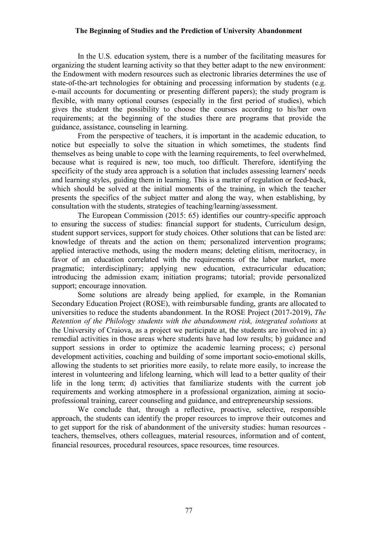In the U.S. education system, there is a number of the facilitating measures for organizing the student learning activity so that they better adapt to the new environment: the Endowment with modern resources such as electronic libraries determines the use of state-of-the-art technologies for obtaining and processing information by students (e.g. e-mail accounts for documenting or presenting different papers); the study program is flexible, with many optional courses (especially in the first period of studies), which gives the student the possibility to choose the courses according to his/her own requirements; at the beginning of the studies there are programs that provide the guidance, assistance, counseling in learning.

From the perspective of teachers, it is important in the academic education, to notice but especially to solve the situation in which sometimes, the students find themselves as being unable to cope with the learning requirements, to feel overwhelmed, because what is required is new, too much, too difficult. Therefore, identifying the specificity of the study area approach is a solution that includes assessing learners' needs and learning styles, guiding them in learning. This is a matter of regulation or feed-back, which should be solved at the initial moments of the training, in which the teacher presents the specifics of the subject matter and along the way, when establishing, by consultation with the students, strategies of teaching/learning/assessment.

The European Commission (2015: 65) identifies our country-specific approach to ensuring the success of studies: financial support for students, Curriculum design, student support services, support for study choices. Other solutions that can be listed are: knowledge of threats and the action on them; personalized intervention programs; applied interactive methods, using the modern means; deleting elitism, meritocracy, in favor of an education correlated with the requirements of the labor market, more pragmatic; interdisciplinary; applying new education, extracurricular education; introducing the admission exam; initiation programs; tutorial; provide personalized support; encourage innovation.

Some solutions are already being applied, for example, in the Romanian Secondary Education Project (ROSE), with reimbursable funding, grants are allocated to universities to reduce the students abandonment. In the ROSE Project (2017-2019), *The Retention of the Philology students with the abandonment risk, integrated solutions* at the University of Craiova, as a project we participate at, the students are involved in: a) remedial activities in those areas where students have had low results; b) guidance and support sessions in order to optimize the academic learning process; c) personal development activities, coaching and building of some important socio-emotional skills, allowing the students to set priorities more easily, to relate more easily, to increase the interest in volunteering and lifelong learning, which will lead to a better quality of their life in the long term; d) activities that familiarize students with the current job requirements and working atmosphere in a professional organization, aiming at socioprofessional training, career counseling and guidance, and entrepreneurship sessions.

We conclude that, through a reflective, proactive, selective, responsible approach, the students can identify the proper resources to improve their outcomes and to get support for the risk of abandonment of the university studies: human resources teachers, themselves, others colleagues, material resources, information and of content, financial resources, procedural resources, space resources, time resources.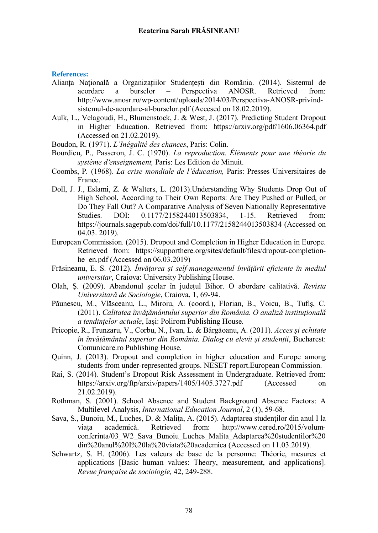#### **References:**

- Alianța Națională a Organizațiilor Studențești din România. (2014). Sistemul de acordare a burselor – Perspectiva ANOSR. Retrieved from: http://www.anosr.ro/wp-content/uploads/2014/03/Perspectiva-ANOSR-privindsistemul-de-acordare-al-burselor.pdf (Accesed on 18.02.2019).
- Aulk, L., Velagoudi, H., Blumenstock, J. & West, J. (2017)*.* Predicting Student Dropout in Higher Education. Retrieved from: https://arxiv.org/pdf/1606.06364.pdf (Accessed on 21.02.2019).
- Boudon, R. (1971). *L'Inégalité des chances*, Paris: Colin.
- Bourdieu, P., Passeron, J. C. (1970). *La reproduction. Éléments pour une théorie du système denseignement,* Paris: Les Edition de Minuit.
- Coombs, P*.* (1968). *La crise mondiale de l'éducation,* Paris: Presses Universitaires de France.
- Doll, J. J., Eslami, Z. & Walters, L. (2013).Understanding Why Students Drop Out of High School, According to Their Own Reports: Are They Pushed or Pulled, or Do They Fall Out? A Comparative Analysis of Seven Nationally Representative Studies. DOI: 0.1177/2158244013503834, 1-15. Retrieved from: https://journals.sagepub.com/doi/full/10.1177/2158244013503834 (Accessed on 04.03. 2019).
- European Commission. (2015). Dropout and Completion in Higher Education in Europe. Retrieved from: https://supporthere.org/sites/default/files/dropout-completionhe en.pdf (Accessed on  $06.03.2019$ )
- Frăsineanu, E. S. (2012). *Învăţarea şi self-managementul învăţării eficiente în mediul universitar*, Craiova: University Publishing House.
- Olah, Ş. (2009). Abandonul școlar în județul Bihor. O abordare calitativă. *Revista Universitară de Sociologie*, Craiova, 1, 69-94.
- Păunescu, M., Vlăsceanu, L., Miroiu, A. (coord.), Florian, B., Voicu, B., Tufiş, C. (2011). *Calitatea învățământului superior din România. O analiză instituțională a tendințelor actuale*, Iași: Polirom Publishing House.
- Pricopie, R., Frunzaru, V., Corbu, N., Ivan, L. & Bârgăoanu, A. (2011). *Acces și echitate în învățământul superior din România. Dialog cu elevii și studenții*, Bucharest: Comunicare.ro Publishing House.
- Quinn, J. (2013). Dropout and completion in higher education and Europe among students from under-represented groups. NESET report.European Commission.
- Rai, S. (2014)*.* Student's Dropout Risk Assessment in Undergraduate. Retrieved from: https://arxiv.org/ftp/arxiv/papers/1405/1405.3727.pdf (Accessed on 21.02.2019).
- Rothman, S. (2001). School Absence and Student Background Absence Factors: A Multilevel Analysis, *International Education Journal*, 2 (1), 59-68.
- Sava, S., Bunoiu, M., Luches, D. & Maliţa, A. (2015). Adaptarea studenților din anul I la viața academică. Retrieved from: http://www.cered.ro/2015/volumconferinta/03\_W2\_Sava\_Bunoiu\_Luches\_Malita\_Adaptarea%20studentilor%20 din%20anul%20I%20la%20viata%20academica (Accessed on 11.03.2019).
- Schwartz, S. H. (2006). Les valeurs de base de la personne: Théorie, mesures et applications [Basic human values: Theory, measurement, and applications]. *Revue française de sociologie,* 42, 249-288.